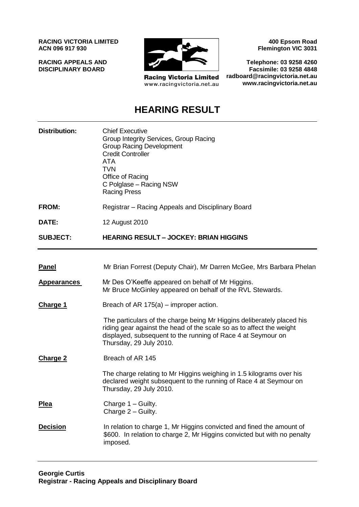**RACING VICTORIA LIMITED ACN 096 917 930**

**RACING APPEALS AND DISCIPLINARY BOARD**



**Racing Victoria Limited** www.racingvictoria.net.au

**400 Epsom Road Flemington VIC 3031**

**Telephone: 03 9258 4260 Facsimile: 03 9258 4848 radboard@racingvictoria.net.au www.racingvictoria.net.au**

# **HEARING RESULT**

| <b>Distribution:</b> | <b>Chief Executive</b><br>Group Integrity Services, Group Racing<br><b>Group Racing Development</b><br><b>Credit Controller</b><br><b>ATA</b><br><b>TVN</b><br>Office of Racing<br>C Polglase - Racing NSW<br><b>Racing Press</b>         |
|----------------------|-------------------------------------------------------------------------------------------------------------------------------------------------------------------------------------------------------------------------------------------|
| <b>FROM:</b>         | Registrar – Racing Appeals and Disciplinary Board                                                                                                                                                                                         |
| DATE:                | 12 August 2010                                                                                                                                                                                                                            |
| <b>SUBJECT:</b>      | <b>HEARING RESULT - JOCKEY: BRIAN HIGGINS</b>                                                                                                                                                                                             |
|                      |                                                                                                                                                                                                                                           |
| <u>Panel</u>         | Mr Brian Forrest (Deputy Chair), Mr Darren McGee, Mrs Barbara Phelan                                                                                                                                                                      |
| <b>Appearances</b>   | Mr Des O'Keeffe appeared on behalf of Mr Higgins.<br>Mr Bruce McGinley appeared on behalf of the RVL Stewards.                                                                                                                            |
| <b>Charge 1</b>      | Breach of AR $175(a)$ – improper action.                                                                                                                                                                                                  |
|                      | The particulars of the charge being Mr Higgins deliberately placed his<br>riding gear against the head of the scale so as to affect the weight<br>displayed, subsequent to the running of Race 4 at Seymour on<br>Thursday, 29 July 2010. |
| <b>Charge 2</b>      | Breach of AR 145                                                                                                                                                                                                                          |
|                      | The charge relating to Mr Higgins weighing in 1.5 kilograms over his<br>declared weight subsequent to the running of Race 4 at Seymour on<br>Thursday, 29 July 2010.                                                                      |
| <b>Plea</b>          | Charge 1 - Guilty.<br>Charge 2 - Guilty.                                                                                                                                                                                                  |
| <b>Decision</b>      | In relation to charge 1, Mr Higgins convicted and fined the amount of<br>\$600. In relation to charge 2, Mr Higgins convicted but with no penalty<br>imposed.                                                                             |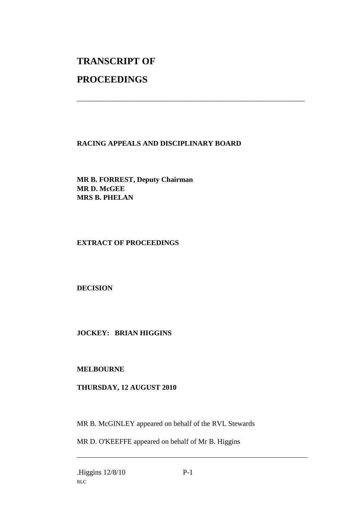# **TRANSCRIPT OF**

# **PROCEEDINGS**

## **RACING APPEALS AND DISCIPLINARY BOARD**

\_\_\_\_\_\_\_\_\_\_\_\_\_\_\_\_\_\_\_\_\_\_\_\_\_\_\_\_\_\_\_\_\_\_\_\_\_\_\_\_\_\_\_\_\_\_\_\_\_\_\_\_\_\_\_\_\_\_\_\_\_\_\_

**MR B. FORREST, Deputy Chairman MR D. McGEE MRS B. PHELAN**

## **EXTRACT OF PROCEEDINGS**

## **DECISION**

**JOCKEY: BRIAN HIGGINS**

#### **MELBOURNE**

#### **THURSDAY, 12 AUGUST 2010**

MR B. McGINLEY appeared on behalf of the RVL Stewards

MR D. O'KEEFFE appeared on behalf of Mr B. Higgins